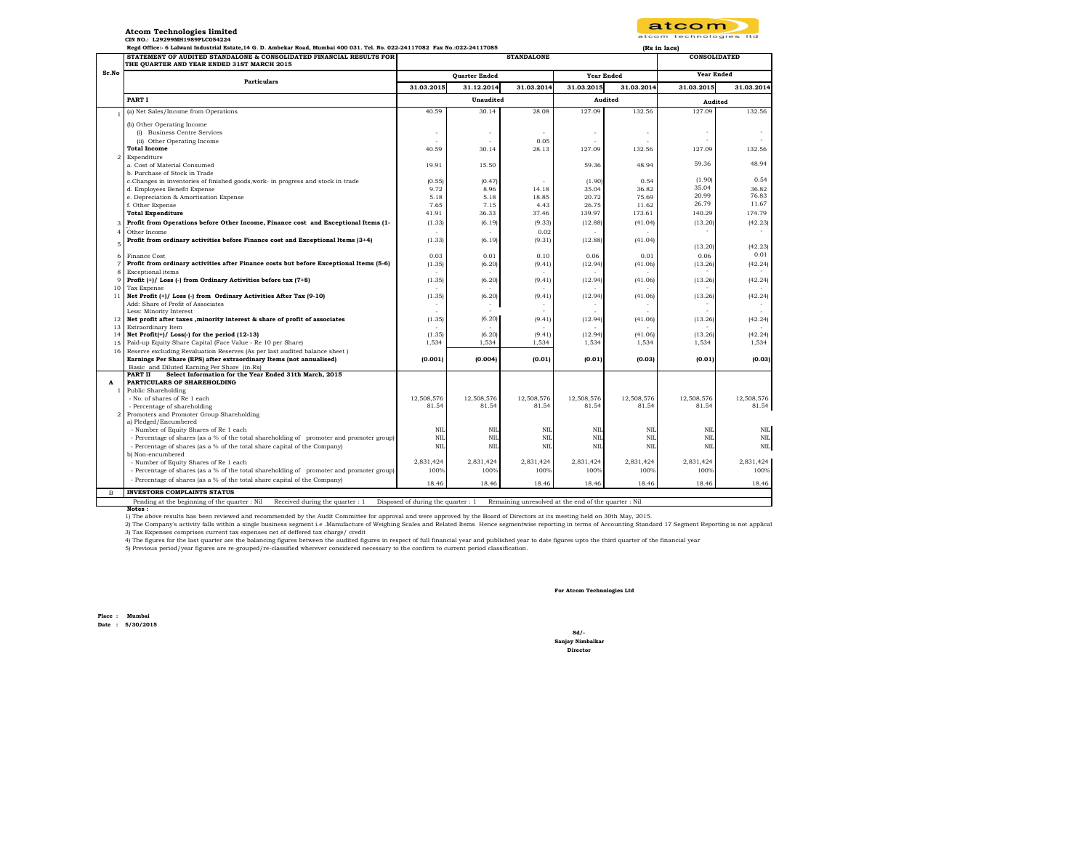| atcom                 |  |
|-----------------------|--|
| atcom technologies It |  |

 **(Rs in lacs)** 

## **Atcom Technologies limited CIN NO.: L29299MH1989PLC054224**

 **Regd Office:- 6 Lalwani Industrial Estate,14 G. D. Ambekar Road, Mumbai 400 031. Tel. No. 022-24117082 Fax No.:022-24117085** 

|                    | STATEMENT OF AUDITED STANDALONE & CONSOLIDATED FINANCIAL RESULTS FOR<br>THE QUARTER AND YEAR ENDED 31ST MARCH 2015                                                             |                      | <b>STANDALONE</b>        |                          |                   |            | <b>CONSOLIDATED</b> |            |
|--------------------|--------------------------------------------------------------------------------------------------------------------------------------------------------------------------------|----------------------|--------------------------|--------------------------|-------------------|------------|---------------------|------------|
| Sr.No              | <b>Particulars</b>                                                                                                                                                             | <b>Quarter Ended</b> |                          |                          | <b>Year Ended</b> |            | <b>Year Ended</b>   |            |
|                    |                                                                                                                                                                                | 31.03.2015           | 31.12.2014               | 31.03.2014               | 31.03.2015        | 31.03.2014 | 31.03.2015          | 31.03.2014 |
|                    | PART I                                                                                                                                                                         |                      | Unaudited                |                          | Audited           |            | Audited             |            |
|                    | (a) Net Sales/Income from Operations                                                                                                                                           | 40.59                | 30.14                    | 28.08                    | 127.09            | 132.56     | 127.09              | 132.56     |
|                    | (b) Other Operating Income                                                                                                                                                     |                      |                          |                          |                   |            |                     |            |
|                    | (i) Business Centre Services                                                                                                                                                   |                      | $\overline{\phantom{a}}$ | $\overline{\phantom{a}}$ |                   |            | $\overline{a}$      |            |
|                    | (ii) Other Operating Income                                                                                                                                                    |                      |                          | 0.05                     |                   |            |                     |            |
|                    | <b>Total Income</b>                                                                                                                                                            | 40.59                | 30.14                    | 28.13                    | 127.09            | 132.56     | 127.09              | 132.56     |
| $\overline{2}$     | Expenditure<br>a. Cost of Material Consumed                                                                                                                                    | 19.91                | 15.50                    |                          | 59.36             | 48.94      | 59.36               | 48.94      |
|                    | b. Purchase of Stock in Trade                                                                                                                                                  |                      |                          |                          |                   |            |                     |            |
|                    | c.Changes in inventories of finished goods, work- in progress and stock in trade                                                                                               | (0.55)               | (0.47)                   | $\overline{\phantom{a}}$ | (1.90)            | 0.54       | (1.90)              | 0.54       |
|                    | d. Employees Benefit Expense                                                                                                                                                   | 9.72                 | 8.96                     | 14.18                    | 35.04             | 36.82      | 35.04               | 36.82      |
|                    | e. Depreciation & Amortisation Expense                                                                                                                                         | 5.18                 | 5.18                     | 18.85                    | 20.72             | 75.69      | 20.99               | 76.83      |
|                    | f. Other Expense                                                                                                                                                               | 7.65                 | 7.15                     | 4.43                     | 26.75             | 11.62      | 26.79               | 11.67      |
|                    | <b>Total Expenditure</b>                                                                                                                                                       | 41.91                | 36.33                    | 37.46                    | 139.97            | 173.61     | 140.29              | 174.79     |
| 3                  | Profit from Operations before Other Income, Finance cost and Exceptional Items (1-                                                                                             | (1.33)               | (6.19)                   | (9.33)                   | (12.88)           | (41.04)    | (13.20)             | (42.23)    |
| 4                  | Other Income                                                                                                                                                                   |                      |                          | 0.02                     |                   |            |                     |            |
| 5                  | Profit from ordinary activities before Finance cost and Exceptional Items (3+4)                                                                                                | (1.33)               | (6.19)                   | (9.31)                   | (12.88)           | (41.04)    |                     |            |
|                    |                                                                                                                                                                                |                      |                          |                          |                   |            | (13.20)             | (42.23)    |
| 6                  | Finance Cost                                                                                                                                                                   | 0.03                 | 0.01                     | 0.10                     | 0.06              | 0.01       | 0.06                | 0.01       |
| $\overline{7}$     | Profit from ordinary activities after Finance costs but before Exceptional Items (5-6)                                                                                         | (1.35)               | (6.20)                   | (9.41)                   | (12.94)           | (41.06)    | (13.26)             | (42.24)    |
| 8                  | Exceptional items                                                                                                                                                              |                      |                          |                          |                   |            |                     |            |
| $\mathbf{Q}$<br>10 | Profit (+)/ Loss (-) from Ordinary Activities before tax (7+8)<br>Tax Expense                                                                                                  | (1.35)               | (6.20)                   | (9.41)                   | (12.94)           | (41.06)    | (13.26)             | (42.24)    |
| 11                 | Net Profit (+)/ Loss (-) from Ordinary Activities After Tax (9-10)                                                                                                             | (1.35)               | (6.20)                   | (9.41)                   | (12.94)           | (41.06)    | (13.26)             | (42.24)    |
|                    | Add: Share of Profit of Associates                                                                                                                                             |                      |                          |                          |                   |            |                     |            |
|                    | Less: Minority Interest                                                                                                                                                        |                      |                          | $\overline{\phantom{a}}$ |                   |            |                     |            |
| 12                 | Net profit after taxes ,minority interest & share of profit of associates                                                                                                      | (1.35)               | (6.20)                   | (9.41)                   | (12.94)           | (41.06)    | (13.26)             | (42.24)    |
| 13                 | Extraordinary Item                                                                                                                                                             |                      |                          |                          |                   |            |                     |            |
| 14                 | Net Profit $(+)$ Loss $(-)$ for the period $(12-13)$                                                                                                                           | (1.35)               | (6.20)                   | (9.41)                   | (12.94)           | (41.06)    | (13.26)             | (42.24)    |
| 15                 | Paid-up Equity Share Capital (Face Value - Re 10 per Share)                                                                                                                    | 1,534                | 1,534                    | 1,534                    | 1,534             | 1,534      | 1,534               | 1,534      |
| 16                 | Reserve excluding Revaluation Reserves (As per last audited balance sheet)<br>Earnings Per Share (EPS) after extraordinary Items (not annualised)                              | (0.001)              | (0.004)                  | (0.01)                   | (0.01)            | (0.03)     | (0.01)              | (0.03)     |
|                    | Basic and Diluted Earning Per Share (in.Rs)                                                                                                                                    |                      |                          |                          |                   |            |                     |            |
|                    | Select Information for the Year Ended 31th March, 2015<br>PART II                                                                                                              |                      |                          |                          |                   |            |                     |            |
| A                  | PARTICULARS OF SHAREHOLDING                                                                                                                                                    |                      |                          |                          |                   |            |                     |            |
| -1                 | Public Shareholding                                                                                                                                                            |                      |                          |                          |                   |            |                     |            |
|                    | - No. of shares of Re 1 each                                                                                                                                                   | 12,508,576           | 12,508,576               | 12,508,576               | 12,508,576        | 12,508,576 | 12,508,576          | 12,508,576 |
|                    | - Percentage of shareholding                                                                                                                                                   | 81.54                | 81.54                    | 81.54                    | 81.54             | 81.54      | 81.54               | 81.54      |
| $\overline{2}$     | Promoters and Promoter Group Shareholding                                                                                                                                      |                      |                          |                          |                   |            |                     |            |
|                    | a) Pledged/Encumbered<br>- Number of Equity Shares of Re 1 each                                                                                                                | NII                  | NII.                     | NII                      | NII               | NII        | NII                 | <b>NIL</b> |
|                    | - Percentage of shares (as a % of the total shareholding of promoter and promoter group)                                                                                       | NII.                 | NIL                      | NII                      | NIL               | NII.       | NII.                | NIL        |
|                    | - Percentage of shares (as a % of the total share capital of the Company)                                                                                                      | NIL                  | <b>NIL</b>               | NIL                      | NIL               | NII.       | NII.                | NIL        |
|                    | b) Non-encumbered                                                                                                                                                              |                      |                          |                          |                   |            |                     |            |
|                    | - Number of Equity Shares of Re 1 each                                                                                                                                         | 2,831,424            | 2,831,424                | 2,831,424                | 2,831,424         | 2,831,424  | 2,831,424           | 2,831,424  |
|                    | - Percentage of shares (as a % of the total shareholding of promoter and promoter group)                                                                                       | 100%                 | 100%                     | 100%                     | 100%              | 100%       | 100%                | 100%       |
|                    | - Percentage of shares (as a % of the total share capital of the Company)                                                                                                      | 18.46                | 18.46                    | 18.46                    | 18.46             | 18.46      | 18.46               | 18.46      |
| в                  | <b>INVESTORS COMPLAINTS STATUS</b>                                                                                                                                             |                      |                          |                          |                   |            |                     |            |
|                    | Pending at the beginning of the quarter : Nil<br>Received during the quarter : 1<br>Disposed of during the quarter : 1<br>Remaining unresolved at the end of the quarter : Nil |                      |                          |                          |                   |            |                     |            |

 **Notes :**

1) The above results has been reviewed and recommended by the Audit Committee for approval and were approved by the Board of Directors at its meeting held on 30th May, 2015.

2) The Company's activity falls within a single business segment i.e. Manufacture of Weighing Scales and Related Items Hence segmentwise reporting in terms of Accounting Standard 17 Segment Reporting is not applical the St

4) The figures for the last quarter are the balancing figures between the audited figures in respect of full financial year and published year to date figures upto the third quarter of the financial year 5) Previous period/year figures are re-grouped/re-classified wherever considered necessary to the confirm to current period classification.

**For Atcom Technologies Ltd**

**Place : Mumbai Date : 5/30/2015**

**Sanjay Nimbalkar Director Sd/-**